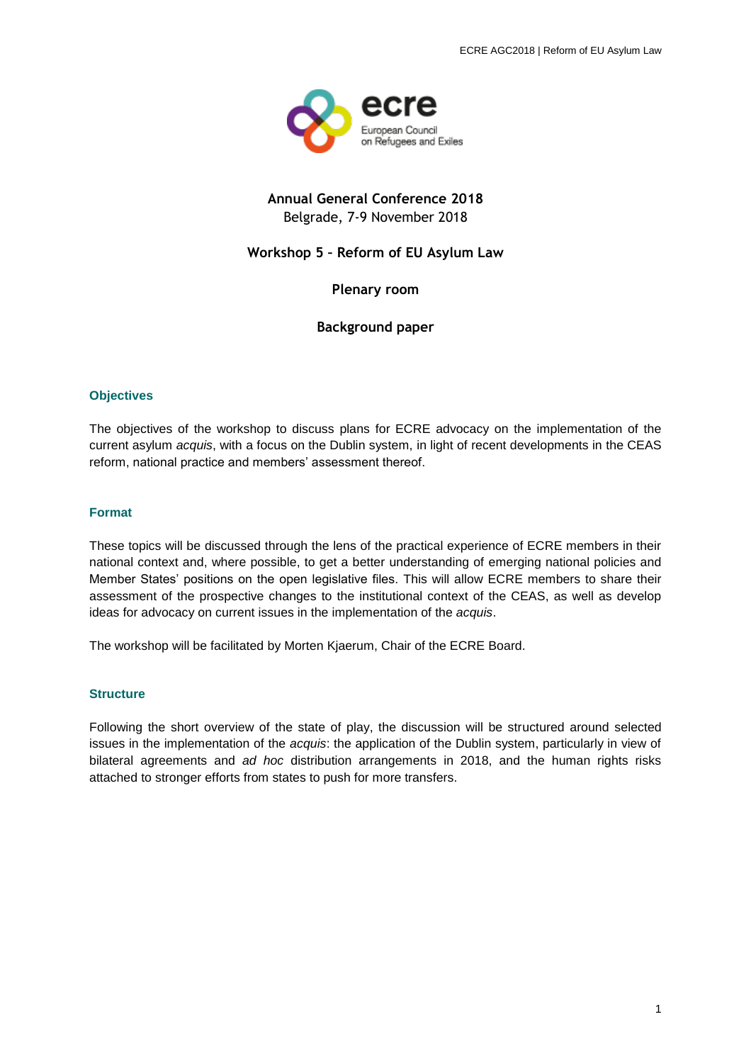

# **Annual General Conference 2018** Belgrade, 7-9 November 2018

## **Workshop 5 – Reform of EU Asylum Law**

**Plenary room**

**Background paper**

## **Objectives**

The objectives of the workshop to discuss plans for ECRE advocacy on the implementation of the current asylum *acquis*, with a focus on the Dublin system, in light of recent developments in the CEAS reform, national practice and members' assessment thereof.

#### **Format**

These topics will be discussed through the lens of the practical experience of ECRE members in their national context and, where possible, to get a better understanding of emerging national policies and Member States' positions on the open legislative files. This will allow ECRE members to share their assessment of the prospective changes to the institutional context of the CEAS, as well as develop ideas for advocacy on current issues in the implementation of the *acquis*.

The workshop will be facilitated by Morten Kjaerum, Chair of the ECRE Board.

#### **Structure**

Following the short overview of the state of play, the discussion will be structured around selected issues in the implementation of the *acquis*: the application of the Dublin system, particularly in view of bilateral agreements and *ad hoc* distribution arrangements in 2018, and the human rights risks attached to stronger efforts from states to push for more transfers.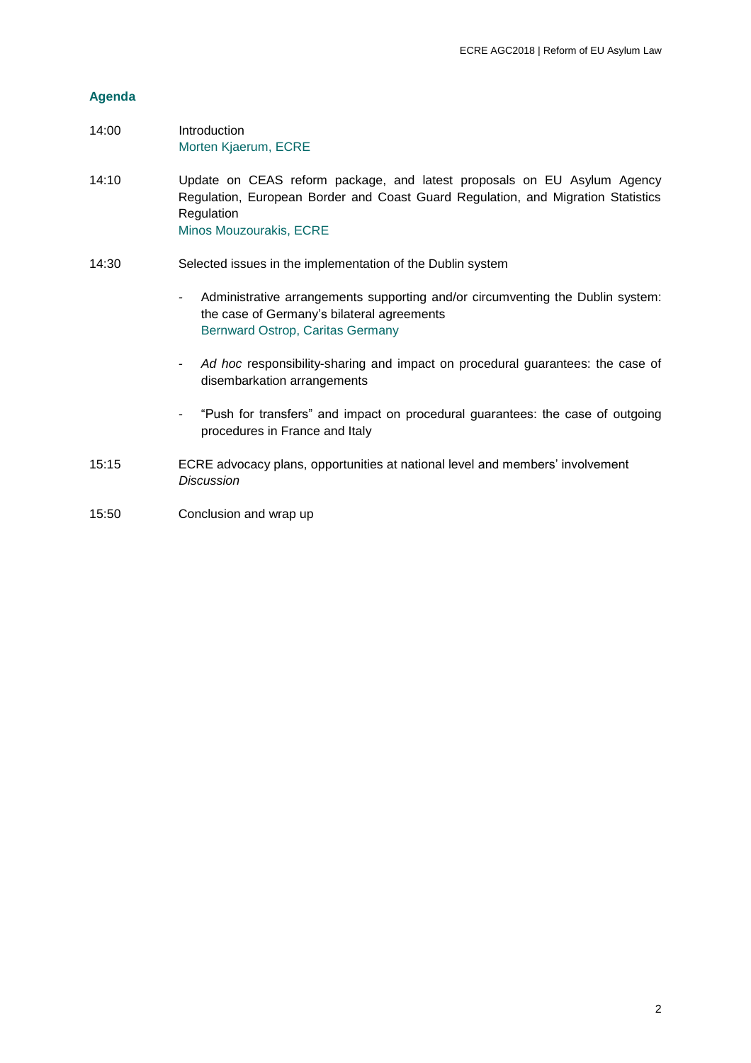## **Agenda**

- 14:00 Introduction Morten Kjaerum, ECRE
- 14:10 Update on CEAS reform package, and latest proposals on EU Asylum Agency Regulation, European Border and Coast Guard Regulation, and Migration Statistics Regulation Minos Mouzourakis, ECRE
- 14:30 Selected issues in the implementation of the Dublin system
	- *-* Administrative arrangements supporting and/or circumventing the Dublin system: the case of Germany's bilateral agreements Bernward Ostrop, Caritas Germany
	- *- Ad hoc* responsibility-sharing and impact on procedural guarantees: the case of disembarkation arrangements
	- *-* "Push for transfers" and impact on procedural guarantees: the case of outgoing procedures in France and Italy
- 15:15 ECRE advocacy plans, opportunities at national level and members' involvement *Discussion*
- 15:50 Conclusion and wrap up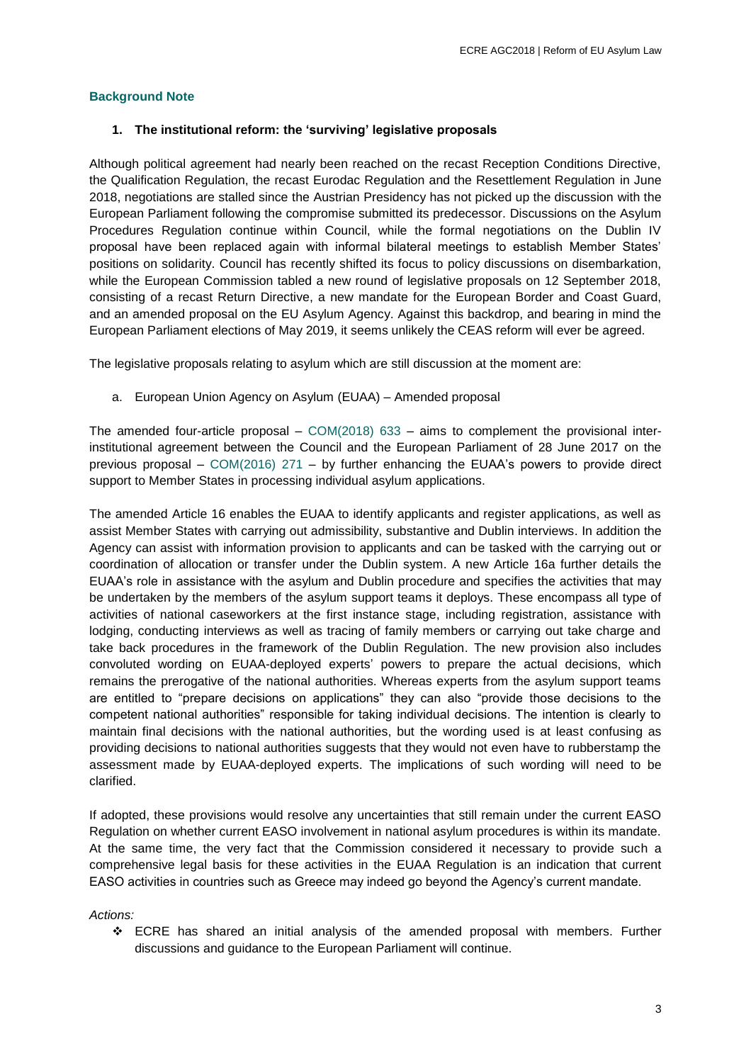## **Background Note**

## **1. The institutional reform: the 'surviving' legislative proposals**

Although political agreement had nearly been reached on the recast Reception Conditions Directive, the Qualification Regulation, the recast Eurodac Regulation and the Resettlement Regulation in June 2018, negotiations are stalled since the Austrian Presidency has not picked up the discussion with the European Parliament following the compromise submitted its predecessor. Discussions on the Asylum Procedures Regulation continue within Council, while the formal negotiations on the Dublin IV proposal have been replaced again with informal bilateral meetings to establish Member States' positions on solidarity. Council has recently shifted its focus to policy discussions on disembarkation, while the European Commission tabled a new round of legislative proposals on 12 September 2018, consisting of a recast Return Directive, a new mandate for the European Border and Coast Guard, and an amended proposal on the EU Asylum Agency. Against this backdrop, and bearing in mind the European Parliament elections of May 2019, it seems unlikely the CEAS reform will ever be agreed.

The legislative proposals relating to asylum which are still discussion at the moment are:

a. European Union Agency on Asylum (EUAA) – Amended proposal

The amended four-article proposal –  $COM(2018)$  633 – aims to complement the provisional interinstitutional agreement between the Council and the European Parliament of 28 June 2017 on the previous proposal – [COM\(2016\) 271](https://eur-lex.europa.eu/legal-content/EN/TXT/?uri=COM:2016:0271:FIN) – by further enhancing the EUAA's powers to provide direct support to Member States in processing individual asylum applications.

The amended Article 16 enables the EUAA to identify applicants and register applications, as well as assist Member States with carrying out admissibility, substantive and Dublin interviews. In addition the Agency can assist with information provision to applicants and can be tasked with the carrying out or coordination of allocation or transfer under the Dublin system. A new Article 16a further details the EUAA's role in assistance with the asylum and Dublin procedure and specifies the activities that may be undertaken by the members of the asylum support teams it deploys. These encompass all type of activities of national caseworkers at the first instance stage, including registration, assistance with lodging, conducting interviews as well as tracing of family members or carrying out take charge and take back procedures in the framework of the Dublin Regulation. The new provision also includes convoluted wording on EUAA-deployed experts' powers to prepare the actual decisions, which remains the prerogative of the national authorities. Whereas experts from the asylum support teams are entitled to "prepare decisions on applications" they can also "provide those decisions to the competent national authorities" responsible for taking individual decisions. The intention is clearly to maintain final decisions with the national authorities, but the wording used is at least confusing as providing decisions to national authorities suggests that they would not even have to rubberstamp the assessment made by EUAA-deployed experts. The implications of such wording will need to be clarified.

If adopted, these provisions would resolve any uncertainties that still remain under the current EASO Regulation on whether current EASO involvement in national asylum procedures is within its mandate. At the same time, the very fact that the Commission considered it necessary to provide such a comprehensive legal basis for these activities in the EUAA Regulation is an indication that current EASO activities in countries such as Greece may indeed go beyond the Agency's current mandate.

*Actions:*

 ECRE has shared an initial analysis of the amended proposal with members. Further discussions and guidance to the European Parliament will continue.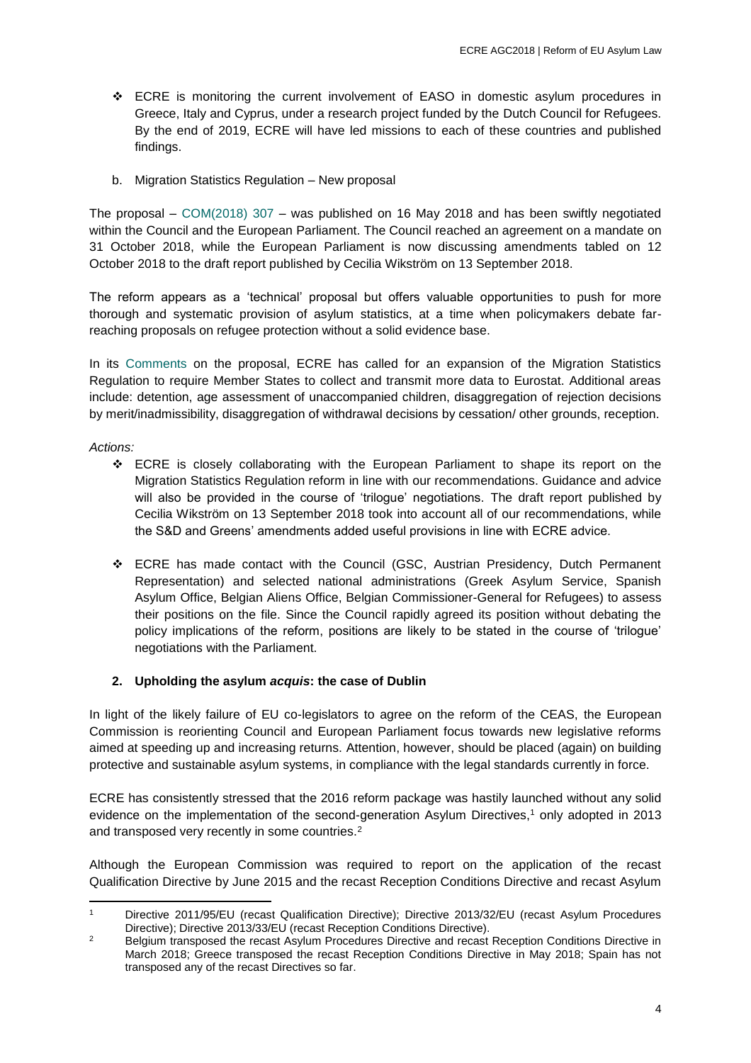- ECRE is monitoring the current involvement of EASO in domestic asylum procedures in Greece, Italy and Cyprus, under a research project funded by the Dutch Council for Refugees. By the end of 2019, ECRE will have led missions to each of these countries and published findings.
- b. Migration Statistics Regulation New proposal

The proposal – [COM\(2018\) 307](https://eur-lex.europa.eu/legal-content/EN/TXT/?uri=COM%3A2018%3A307%3AFIN) – was published on 16 May 2018 and has been swiftly negotiated within the Council and the European Parliament. The Council reached an agreement on a mandate on 31 October 2018, while the European Parliament is now discussing amendments tabled on 12 October 2018 to the draft report published by Cecilia Wikström on 13 September 2018.

The reform appears as a 'technical' proposal but offers valuable opportunities to push for more thorough and systematic provision of asylum statistics, at a time when policymakers debate farreaching proposals on refugee protection without a solid evidence base.

In its [Comments](http://www.asylumineurope.org/sites/default/files/ecre_comments_migrationstatistics.pdf) on the proposal, ECRE has called for an expansion of the Migration Statistics Regulation to require Member States to collect and transmit more data to Eurostat. Additional areas include: detention, age assessment of unaccompanied children, disaggregation of rejection decisions by merit/inadmissibility, disaggregation of withdrawal decisions by cessation/ other grounds, reception.

*Actions:*

- ECRE is closely collaborating with the European Parliament to shape its report on the Migration Statistics Regulation reform in line with our recommendations. Guidance and advice will also be provided in the course of 'trilogue' negotiations. The draft report published by Cecilia Wikström on 13 September 2018 took into account all of our recommendations, while the S&D and Greens' amendments added useful provisions in line with ECRE advice.
- ECRE has made contact with the Council (GSC, Austrian Presidency, Dutch Permanent Representation) and selected national administrations (Greek Asylum Service, Spanish Asylum Office, Belgian Aliens Office, Belgian Commissioner-General for Refugees) to assess their positions on the file. Since the Council rapidly agreed its position without debating the policy implications of the reform, positions are likely to be stated in the course of 'trilogue' negotiations with the Parliament.

## **2. Upholding the asylum** *acquis***: the case of Dublin**

In light of the likely failure of EU co-legislators to agree on the reform of the CEAS, the European Commission is reorienting Council and European Parliament focus towards new legislative reforms aimed at speeding up and increasing returns. Attention, however, should be placed (again) on building protective and sustainable asylum systems, in compliance with the legal standards currently in force.

ECRE has consistently stressed that the 2016 reform package was hastily launched without any solid evidence on the implementation of the second-generation Asylum Directives, <sup>1</sup> only adopted in 2013 and transposed very recently in some countries.<sup>2</sup>

Although the European Commission was required to report on the application of the recast Qualification Directive by June 2015 and the recast Reception Conditions Directive and recast Asylum

<sup>1</sup> <sup>1</sup> Directive 2011/95/EU (recast Qualification Directive); Directive 2013/32/EU (recast Asylum Procedures Directive); Directive 2013/33/EU (recast Reception Conditions Directive).

<sup>&</sup>lt;sup>2</sup> Belgium transposed the recast Asylum Procedures Directive and recast Reception Conditions Directive in March 2018; Greece transposed the recast Reception Conditions Directive in May 2018; Spain has not transposed any of the recast Directives so far.